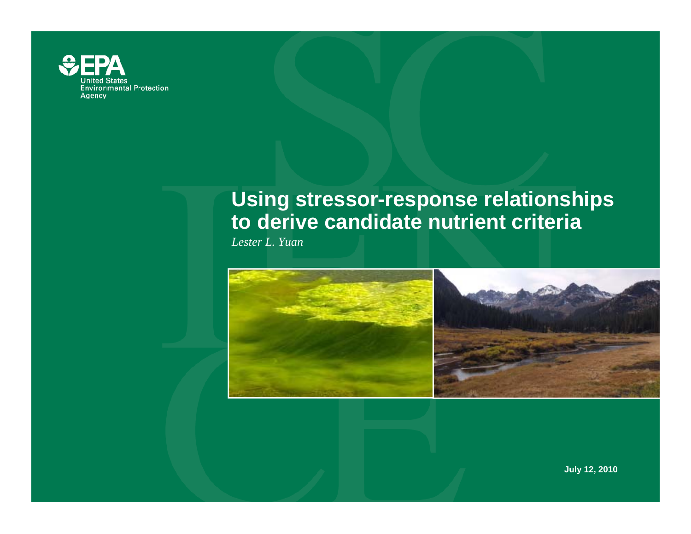

# **Using stressor-response relationships to derive candidate nutrient criteria**

*Lester L. Yuan*



**July 12, 2010**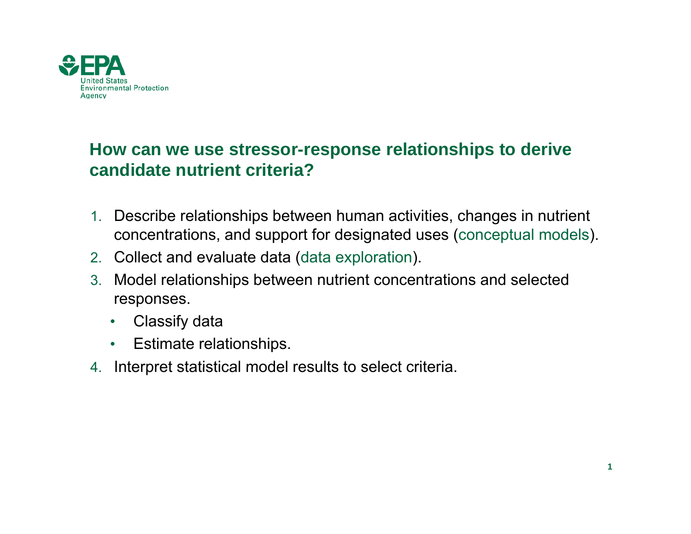

## **How can we use stressor-response relationships to derive candid t t i t it i ? did ate nurient criteria**

- 1. Describe relationships between human activities, changes in nutrient concentrations, and support for designated uses (conceptual models).
- 2. Collect and evaluate data (data exploration).
- 3. Model relationships between nutrient concentrations and selected responses.
	- •Classify data
	- $\bullet$ Estimate relationships.
- 4. Interpret statistical model results to select criteria.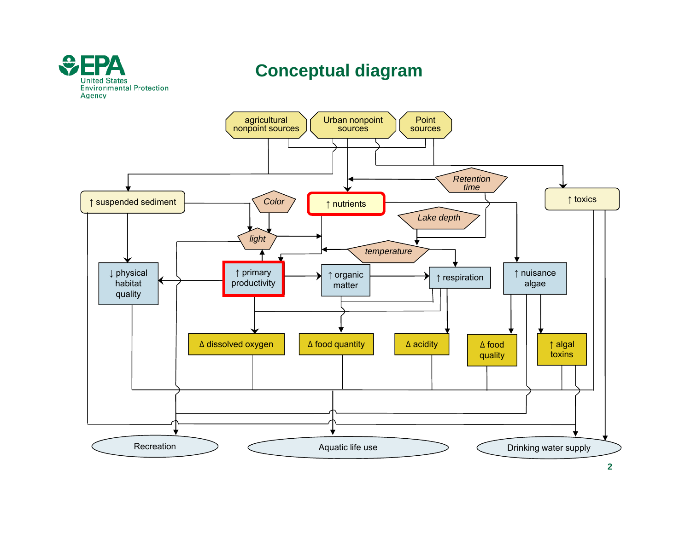

**2**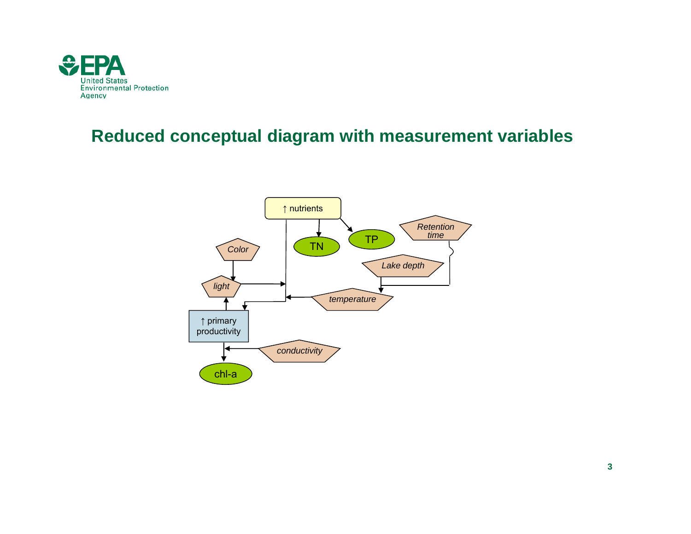

### **Reduced conceptual diagram with measurement variables**

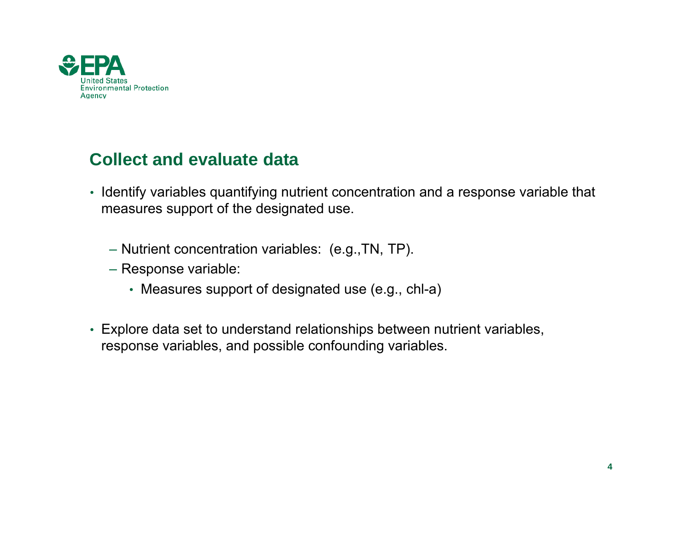

### **Collect and evaluate data**

- Identify variables quantifying nutrient concentration and a response variable that measures support of the designated use.
	- Nutrient concentration variables: (e.g.,TN, TP).
	- Response variable:
		- Measures support of designated use (e.g., chl-a)
- Explore data set to understand relationships between nutrient variables, response variables, and possible confounding variables.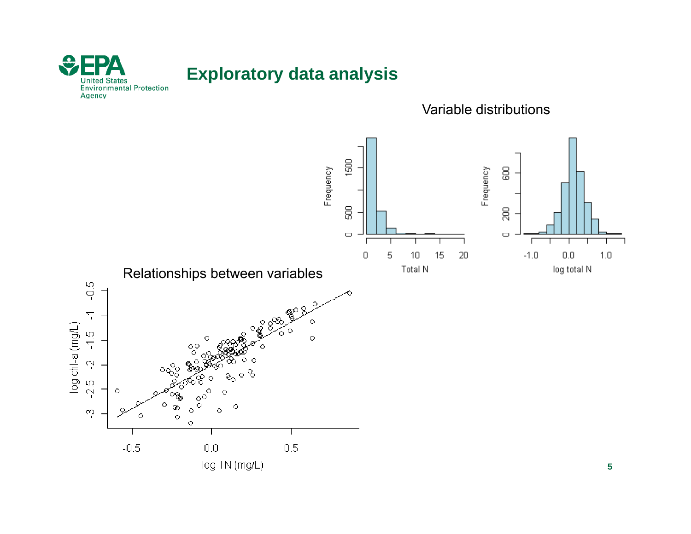

### **Exploratory data analysis**

Variable distributions

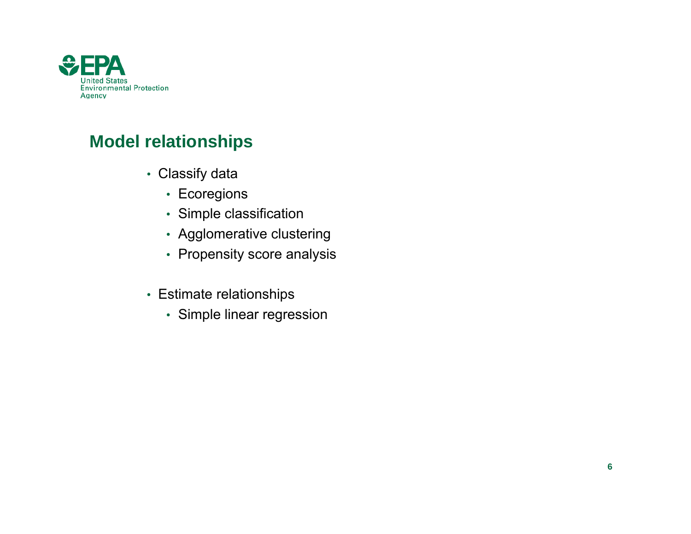

## **Model relationships**

- Classify data
	- Ecoregions
	- Simple classification
	- Agglomerative clustering
	- Propensity score analysis
- Estimate relationshi p s
	- Simple linear regression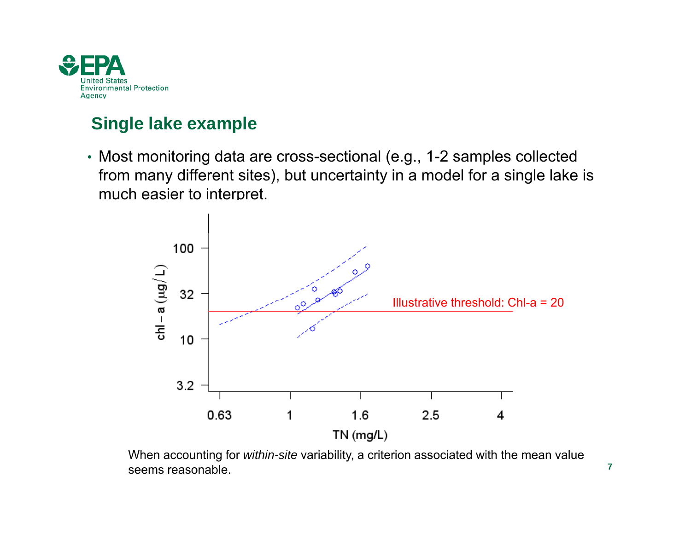

## **Single lake example**

• Most monitoring data are cross-sectional (e.g., 1-2 samples collected from many different sites), but uncertainty in a model for a single lake is much easier to interpret.



When accounting for *within-site* variability, a criterion associated with the mean value seems reasonable.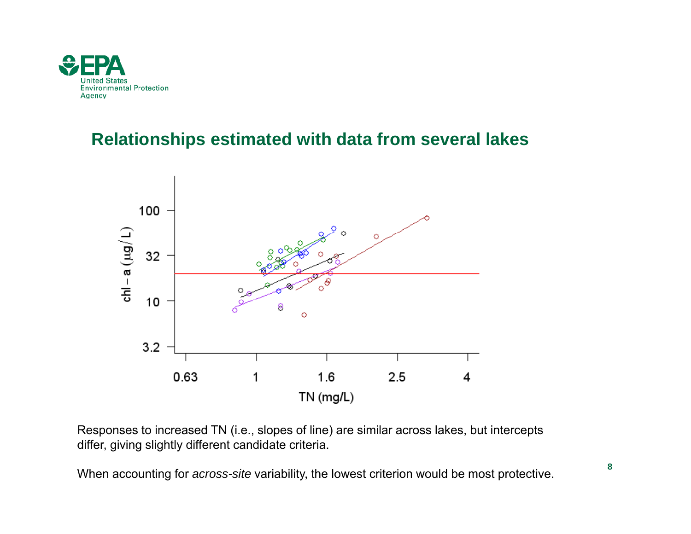

#### **Relationships estimated with data from several lakes**



Responses to increased TN (i.e., slopes of line) are similar across lakes, but intercepts differ, giving slightly different candidate criteria.

When accounting for *across-site* variability, the lowest criterion would be most protective.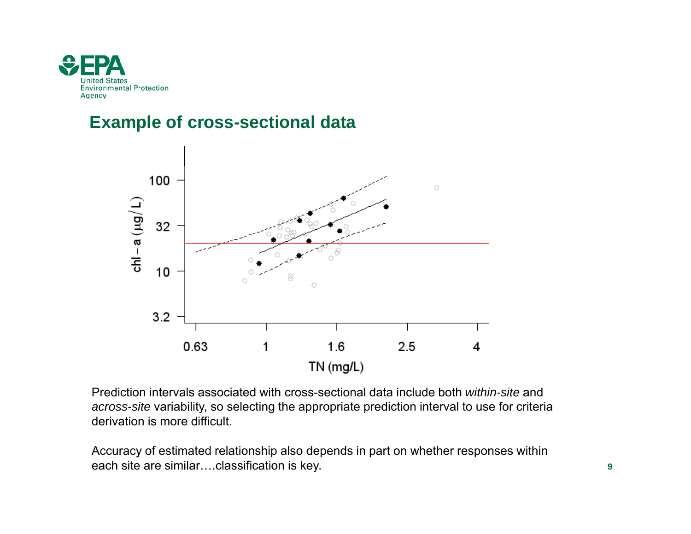

#### **Example of cross-sectional data**



Prediction intervals associated with cross-sectional data include both *within-site* and *across-site* variability, so selecting the appropriate prediction interval to use for criteria derivation is more difficult.

Accuracy of estimated relationship also depends in part on whether responses within each site are similar….classification is key.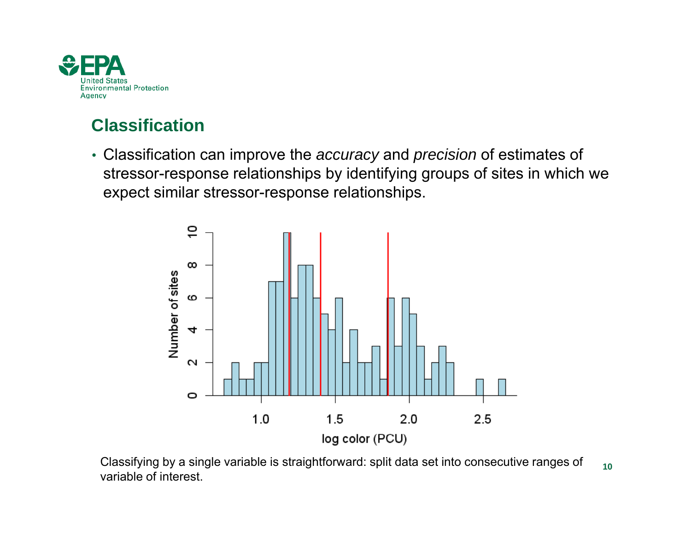

## **Classification**

• Classification can improve the *accuracy* and *precision* of estimates of stressor-response relationships by identifying groups of sites in which we expect similar stressor-response relationships.



Classifying by a single variable is straightforward: split data set into consecutive ranges of  $_{\,\,\,10}$ variable of interest.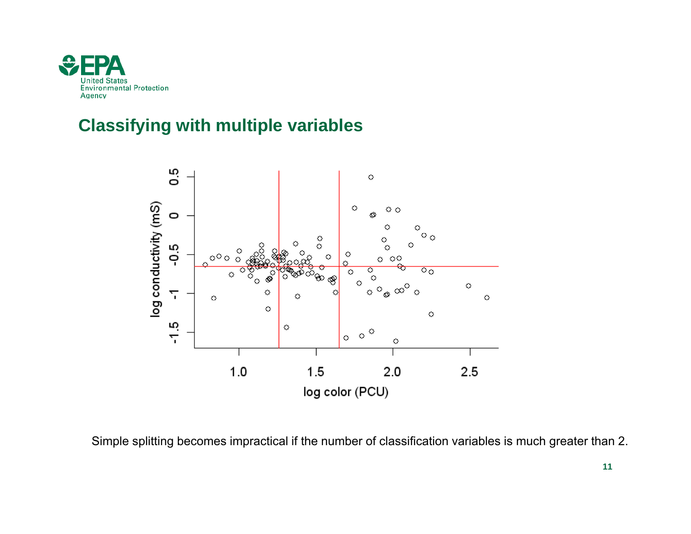

### **Classifying with multiple variables**



Simple splitting becomes impractical if the number of classification variables is much greater than 2.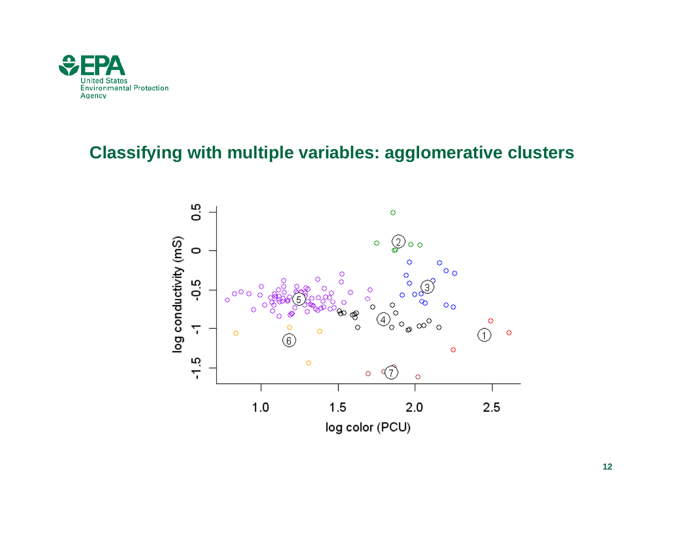

### **Classifying with multiple variables: agglomerative clusters**

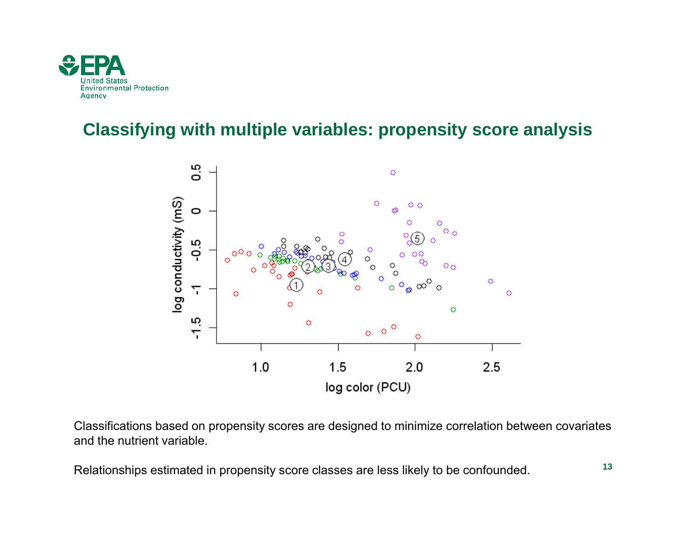

#### **Classifying with multiple variables: propensity score analysis**



Classifications based on propensity scores are designed to minimize correlation between covariates and the nutrient variable.

Relationships estimated in propensity score classes are less likely to be confounded.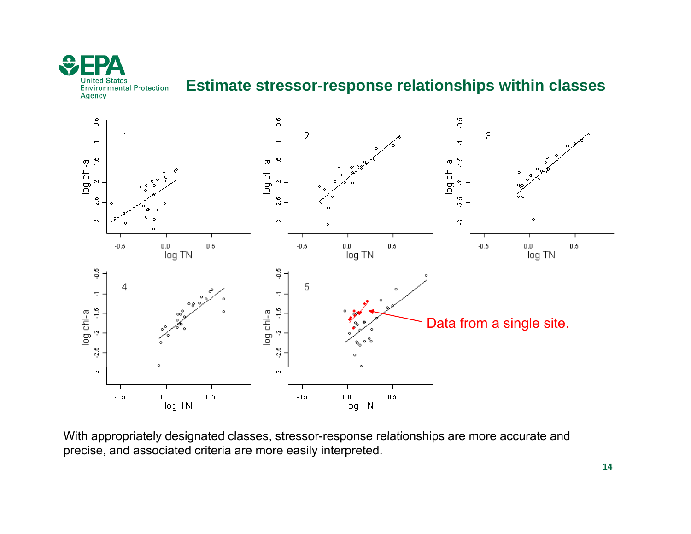

#### **Estimate stressor-response relationships within classes**



With appropriately designated classes, stressor-response relationships are more accurate and precise, and associated criteria are more easily interpreted.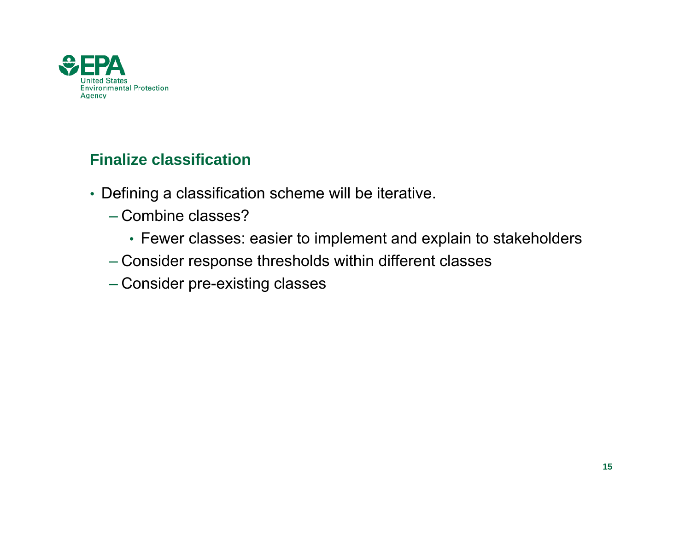

#### **Finalize classification**

- Defining a classification scheme will be iterative.
	- Combine classes?
		- Fewer classes: easier to implement and explain to stakeholders
	- Consider response thresholds within different classes
	- Consider pre-existing classes